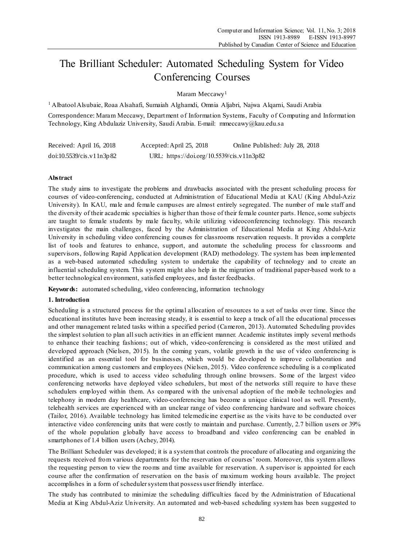# The Brilliant Scheduler: Automated Scheduling System for Video Conferencing Courses

Maram Meccawy<sup>1</sup>

<sup>1</sup> AlbatoolAlsubaie, Roaa Alsahafi, Sumaiah Alghamdi, Omnia Aljabri, Najwa Alqarni, Saudi Arabia

Correspondence: Maram Meccawy, Department of Information Systems, Faculty of Computing and Information Technology, King Abdulaziz University, Saudi Arabia. E-mail: mmeccawy@kau.edu.sa

| Received: April 16, 2018 | Accepted: April 25, 2018                  | Online Published: July 28, 2018 |
|--------------------------|-------------------------------------------|---------------------------------|
| doi:10.5539/cis.v11n3p82 | URL: https://doi.org/10.5539/cis.v11n3p82 |                                 |

## **Abstract**

The study aims to investigate the problems and drawbacks associated with the present scheduling process for courses of video-conferencing, conducted at Administration of Educational Media at KAU (King Abdul-Aziz University). In KAU, male and female campuses are almost entirely segregated. The number of male staff and the diversity of their academic specialties is higher than those of their female counter parts. Hence, some subjects are taught to female students by male faculty, while utilizing videoconferencing technology. This research investigates the main challenges, faced by the Administration of Educational Media at King Abdul-Aziz University in scheduling video conferencing courses for classrooms reservation requests. It provides a complete list of tools and features to enhance, support, and automate the scheduling process for classrooms and supervisors, following Rapid Application development (RAD) methodology. The system has been implemented as a web-based automated scheduling system to undertake the capability of technology and to create an influential scheduling system. This system might also help in the migration of traditional paper-based work to a better technological environment, satisfied employees, and faster feedbacks.

**Keywords:** automated scheduling, video conferencing, information technology

## **1. Introduction**

Scheduling is a structured process for the optimal allocation of resources to a set of tasks over time. Since the educational institutes have been increasing steady, it is essential to keep a track of all the educational processes and other management related tasks within a specified period (Cameron, 2013). Automated Scheduling provides the simplest solution to plan allsuch activities in an efficient manner. Academic institutes imply several methods to enhance their teaching fashions; out of which, video-conferencing is considered as the most utilized and developed approach (Nielsen, 2015). In the coming years, volatile growth in the use of video conferencing is identified as an essential tool for businesses, which would be developed to improve collaboration and communication among customers and employees (Nielsen, 2015). Video conference scheduling is a complicated procedure, which is used to access video scheduling through online browsers. Some of the largest video conferencing networks have deployed video schedulers, but most of the networks still require to have these schedulers employed within them. As compared with the universal adoption of the mobile technologies and telephony in modern day healthcare, video-conferencing has become a unique clinical tool as well. Presently, telehealth services are experienced with an unclear range of video conferencing hardware and software choices (Tailor, 2016). Available technology has limited telemedicine expertise as the visits have to be conducted over interactive video conferencing units that were costly to maintain and purchase. Currently, 2.7 billion users or 39% of the whole population globally have access to broadband and video conferencing can be enabled in smartphones of 1.4 billion users (Achey, 2014).

The Brilliant Scheduler was developed; it is a systemthat controls the procedure of allocating and organizing the requests received from various departments for the reservation of courses' room. Moreover, this system allows the requesting person to view the rooms and time available for reservation. A supervisor is appointed for each course after the confirmation of reservation on the basis of maximum working hours available. The project accomplishes in a form of scheduler system that possess user friendly interface.

The study has contributed to minimize the scheduling difficulties faced by the Administration of Educational Media at King Abdul-Aziz University. An automated and web-based scheduling system has been suggested to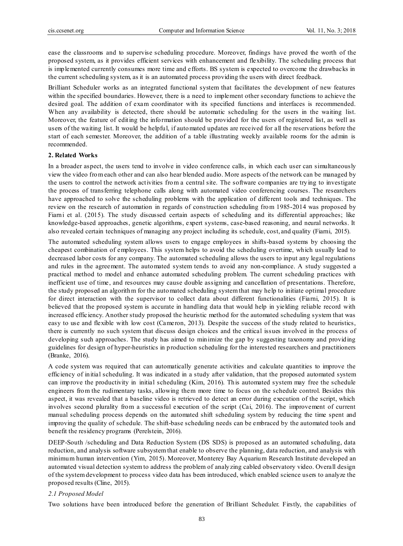ease the classrooms and to supervise scheduling procedure. Moreover, findings have proved the worth of the proposed system, as it provides efficient services with enhancement and flexibility. The scheduling process that is implemented currently consumes more time and efforts. BS system is expected to overcome the drawbacks in the current scheduling system, as it is an automated process providing the users with direct feedback.

Brilliant Scheduler works as an integrated functional system that facilitates the development of new features within the specified boundaries. However, there is a need to implement other secondary functions to achieve the desired goal. The addition of exam coordinator with its specified functions and interfaces is recommended. When any availability is detected, there should be automatic scheduling for the users in the waiting list. Moreover, the feature of editing the information should be provided for the users of registered list, as well as users of the waiting list. It would be helpful, if automated updates are received for all the reservations before the start of each semester. Moreover, the addition of a table illustrating weekly available rooms for the admin is recommended.

#### **2. Related Works**

In a broader aspect, the users tend to involve in video conference calls, in which each user can simultaneously view the video fromeach other and can also hear blended audio. More aspects of the network can be managed by the users to control the network activities from a central site. The software companies are trying to investigate the process of transferring telephone calls along with automated video conferencing courses. The researchers have approached to solve the scheduling problems with the application of different tools and techniques. The review on the research of automation in regards of construction scheduling from 1985-2014 was proposed by Fiarni et al. (2015). The study discussed certain aspects of scheduling and its differential approaches; like knowledge-based approaches, genetic algorithms, expert systems, case-based reasoning, and neural networks. It also revealed certain techniques of managing any project including its schedule, cost, and quality (Fiarni, 2015).

The automated scheduling system allows users to engage employees in shifts-based systems by choosing the cheapest combination of employees. This system helps to avoid the scheduling overtime, which usually lead to decreased labor costs for any company. The automated scheduling allows the users to input any legal regulations and rules in the agreement. The automated system tends to avoid any non-compliance. A study suggested a practical method to model and enhance automated scheduling problem. The current scheduling practices with inefficient use of time, and resources may cause double assigning and cancellation of presentations. Therefore, the study proposed an algorithm for the automated scheduling systemthat may help to initiate optimal procedure for direct interaction with the supervisor to collect data about different functionalities (Fiarni, 2015). It is believed that the proposed system is accurate in handling data that would help in yielding reliable record with increased efficiency. Another study proposed the heuristic method for the automated scheduling system that was easy to use and flexible with low cost (Cameron, 2013). Despite the success of the study related to heuristics, there is currently no such system that discuss design choices and the critical issues involved in the process of developing such approaches. The study has aimed to minimize the gap by suggesting taxonomy and providing guidelines for design of hyper-heuristics in production scheduling for the interested researchers and practitioners (Branke, 2016).

A code system was required that can automatically generate activities and calculate quantities to improve the efficiency of initial scheduling. It was indicated in a study after validation, that the proposed automated system can improve the productivity in initial scheduling (Kim, 2016). This automated system may free the schedule engineers from the rudimentary tasks, allowing them more time to focus on the schedule control. Besides this aspect, it was revealed that a baseline video is retrieved to detect an error during execution of the script, which involves second plurality from a successful execution of the script (Cai, 2016). The improvement of current manual scheduling process depends on the automated shift scheduling system by reducing the time spent and improving the quality of schedule. The shift-base scheduling needs can be embraced by the automated tools and benefit the residency programs (Perelstein, 2016).

DEEP-South /scheduling and Data Reduction System (DS SDS) is proposed as an automated scheduling, data reduction, and analysis software subsystem that enable to observe the planning, data reduction, and analysis with minimum human intervention (Yim, 2015). Moreover, Monterey Bay Aquarium Research Institute developed an automated visual detection systemto address the problem of analyzing cabled observatory video. Overall design of the systemdevelopment to process video data has been introduced, which enabled science users to analyze the proposed results (Cline, 2015).

#### *2.1 Proposed Model*

Two solutions have been introduced before the generation of Brilliant Scheduler. Firstly, the capabilities of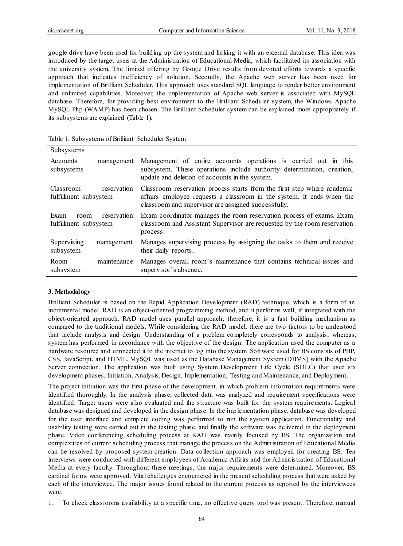google drive have been used for building up the system and linking it with an external database. This idea was introduced by the target users at the Administration of Educational Media, which facilitated its association with the university system. The limited offering by Google Drive results from devoted efforts towards a specific approach that indicates inefficiency of solution. Secondly, the Apache web server has been used for implementation of Brilliant Scheduler. This approach uses standard SQL language to render better environment and unlimited capabilities. Moreover, the implementation of Apache web server is associated with MySQL database. Therefore, for providing best environment to the Brilliant Scheduler system, the Windows Apache MySQL Php (WAMP) has been chosen. The Brilliant Scheduler system can be explained more appropriately if its subsystems are explained (Table 1).

|  |  | Table 1. Subsystems of Brilliant Scheduler System |  |
|--|--|---------------------------------------------------|--|
|  |  |                                                   |  |

| Subsystems                                        |             |                                                                                                                                                                                                         |  |  |
|---------------------------------------------------|-------------|---------------------------------------------------------------------------------------------------------------------------------------------------------------------------------------------------------|--|--|
| Accounts<br>subsystems                            | management  | Management of entire accounts operations is carried out in this<br>subsystem. These operations include authority determination, creation,<br>update and deletion of accounts in the system.             |  |  |
| Classroom<br>reservation<br>fulfillment subsystem |             | Classroom reservation process starts from the first step where academic<br>affairs employee requests a classroom in the system. It ends when the<br>classroom and supervisor are assigned successfully. |  |  |
| Exam<br>room<br>fulfillment subsystem             | reservation | Exam coordinator manages the room reservation process of exams. Exam<br>classroom and Assistant Supervisor are requested by the room reservation<br>process.                                            |  |  |
| Supervising<br>subsystem                          | management  | Manages supervising process by assigning the tasks to them and receive<br>their daily reports.                                                                                                          |  |  |
| Room<br>subsystem                                 | maintenance | Manages overall room's maintenance that contains technical issues and<br>supervisor's absence.                                                                                                          |  |  |

## **3. Methodology**

Brilliant Scheduler is based on the Rapid Application Development (RAD) technique, which is a form of an incremental model. RAD is an object-oriented programming method, and it performs well, if integrated with the object-oriented approach. RAD model uses parallel approach; therefore, it is a fast building mechanis m as compared to the traditional models. While considering the RAD model, there are two factors to be understood that include analysis and design. Understanding of a problem completely corresponds to analysis; whereas, system has performed in accordance with the objective of the design. The application used the computer as a hardware resource and connected it to the internet to log into the system. Software used for BS consists of PHP, CSS, JavaScript, and HTML. MySQL was used as the Database Management System (DBMS) with the Apache Server connection. The application was built using System Development Life Cycle (SDLC) that used six development phases; Initiation, Analysis, Design, Implementation, Testing and Maintenance, and Deployment.

The project initiation was the first phase of the development, in which problem information requirements were identified thoroughly. In the analysis phase, collected data was analyzed and requirement specifications were identified. Target users were also evaluated and the structure was built for the system requirements. Logical database was designed and developed in the design phase. In the implementation phase, database was developed for the user interface and complete coding was performed to run the system application. Functionality and usability testing were carried out in the testing phase, and finally the software was delivered in the deployment phase. Video conferencing scheduling process at KAU was mainly focused by BS. The organization and complexities of current scheduling process that manage the process on the Administration of Educational Media can be resolved by proposed system creation. Data collection approach was employed for creating BS. Ten interviews were conducted with different employees of Academic Affairs and the Administration of Educational Media at every faculty. Throughout these meetings, the major requirements were determined. Moreover, BS cardinal forms were approved. Vital challenges encountered in the presentscheduling process that were asked by each of the interviewee. The major issues found related to the current process as reported by the interviewees were:

1. To check classrooms availability at a specific time, no effective query tool was present. Therefore, manual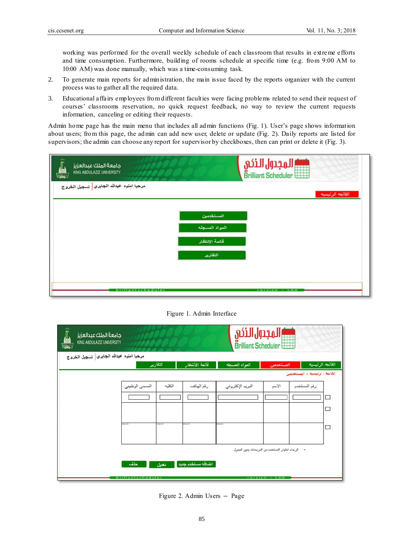working was performed for the overall weekly schedule of each classroom that results in extreme efforts and time consumption. Furthermore, building of rooms schedule at specific time (e.g. from 9:00 AM to 10:00 AM) was done manually, which was a time-consuming task.

- 2. To generate main reports for administration, the main issue faced by the reports organizer with the current process was to gather all the required data.
- 3. Educational affairs employees fromdifferent faculties were facing problems related to send their request of courses' classrooms reservation, no quick request feedback, no way to review the current requests information, canceling or editing their requests.

Admin home page has the main menu that includes all admin functions (Fig. 1). User's page shows information about users; from this page, the admin can add new user, delete or update (Fig. 2). Daily reports are listed for supervisors; the admin can choose any report for supervisor by checkboxes, then can print or delete it (Fig. 3).

| جامعة الملك عبدالعزيز<br>g,<br>KING ABDULAZIZ UNIVERSITY | المجدول الذكم<br>Brilliant Scheduler |
|----------------------------------------------------------|--------------------------------------|
| مرحبا امنيه عبدالله الجابري <mark>،</mark> تسجيل الخروج  | القائمه الرئيسيه                     |
|                                                          | المستخدمين                           |
|                                                          | المواد المسجله                       |
|                                                          | قائمة الإنتظار                       |
|                                                          | التقارير                             |
|                                                          |                                      |
| brillantscheduler                                        | version $: 1.0.0$                    |

# Figure 1. Admin Interface

| مرحبا امنيه عبدالله الجابري   تسجيل الخروج | التقارير       |          | قائمة الأنتظار<br>المواد المسجله |                  | القائمه الرئيسيه<br>المستخدمين |                                |
|--------------------------------------------|----------------|----------|----------------------------------|------------------|--------------------------------|--------------------------------|
|                                            |                |          |                                  |                  |                                | القالمة ا لرليسيه > المستخدمين |
|                                            | المسمى الوظيفي | الكليه   | رقع الهاتف                       | البريد الإكثروني | الاسم                          | رقم المستخدم                   |
|                                            |                |          |                                  |                  |                                | □                              |
|                                            |                |          |                                  |                  |                                | □                              |
|                                            | anga kut       | anga sur | anga kat                         | <b>Piga bul</b>  |                                |                                |
|                                            |                |          |                                  |                  |                                | ⊏                              |
|                                            |                |          |                                  |                  |                                |                                |

Figure 2. Admin Users **–** Page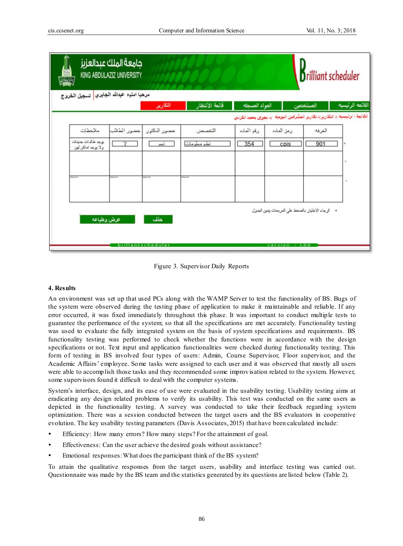

Figure 3. Supervisor Daily Reports

## **4. Results**

An environment was set up that used PCs along with the WAMP Server to test the functionality of BS. Bugs of the system were observed during the testing phase of application to make it maintainable and reliable. If any error occurred, it was fixed immediately throughout this phase. It was important to conduct multiple tests to guarantee the performance of the system; so that all the specifications are met accurately. Functionality testing was used to evaluate the fully integrated system on the basis of system specifications and requirements. BS functionality testing was performed to check whether the functions were in accordance with the design specifications or not. Text input and application functionalities were checked during functionality testing. This form of testing in BS involved four types of users: Admin, Course Supervisor, Floor supervisor, and the Academic Affairs' employee. Some tasks were assigned to each user and it was observed that mostly all users were able to accomplish those tasks and they recommended some improvisation related to the system. However, some supervisors found it difficult to deal with the computer systems.

System's interface, design, and its ease of use were evaluated in the usability testing. Usability testing aims at eradicating any design related problems to verify its usability. This test was conducted on the same users as depicted in the functionality testing. A survey was conducted to take their feedback regarding system optimization. There was a session conducted between the target users and the BS evaluators in cooperative evolution. The key usability testing parameters (Davis Associates, 2015) that have been calculated include:

- Efficiency: How many errors? How many steps? For the attainment of goal.
- Effectiveness: Can the user achieve the desired goals without assistance?
- Emotional responses:What does the participant think of the BS system?

To attain the qualitative responses from the target users, usability and interface testing was carried out. Questionnaire was made by the BS team and the statistics generated by its questions are listed below (Table 2).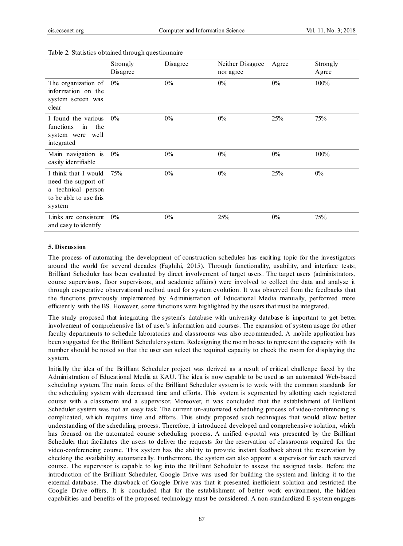|                                                                                                       | Strongly<br>Disagree | Disagree | Neither Disagree<br>nor agree | Agree | Strongly<br>Agree |
|-------------------------------------------------------------------------------------------------------|----------------------|----------|-------------------------------|-------|-------------------|
| The organization of<br>information on the<br>system screen was<br>clear                               | $0\%$                | $0\%$    | $0\%$                         | $0\%$ | 100%              |
| I found the various<br>functions<br>the<br>$\sin$<br>system were well<br>integrated                   | $0\%$                | $0\%$    | $0\%$                         | 25%   | 75%               |
| Main navigation is<br>easily identifiable                                                             | $0\%$                | $0\%$    | $0\%$                         | $0\%$ | 100%              |
| I think that I would<br>need the support of<br>a technical person<br>to be able to use this<br>system | 75%                  | $0\%$    | $0\%$                         | 25%   | $0\%$             |
| Links are consistent<br>and easy to identify                                                          | $0\%$                | $0\%$    | 25%                           | $0\%$ | 75%               |

#### Table 2. Statistics obtained through questionnaire

#### **5. Discussion**

The process of automating the development of construction schedules has exciting topic for the investigators around the world for several decades (Faghihi, 2015). Through functionality, usability, and interface tests; Brilliant Scheduler has been evaluated by direct involvement of target users. The target users (administrators, course supervisors, floor supervisors, and academic affairs) were involved to collect the data and analyze it through cooperative observational method used for system evolution. It was observed from the feedbacks that the functions previously implemented by Administration of Educational Media manually, performed more efficiently with the BS. However, some functions were highlighted by the users that must be integrated.

The study proposed that integrating the system's database with university database is important to get better involvement of comprehensive list of user's information and courses. The expansion of system usage for other faculty departments to schedule laboratories and classrooms was also recommended. A mobile application has been suggested for the Brilliant Scheduler system. Redesigning the room boxes to represent the capacity with its number should be noted so that the user can select the required capacity to check the room for displaying the system.

Initially the idea of the Brilliant Scheduler project was derived as a result of critical challenge faced by the Administration of Educational Media at KAU. The idea is now capable to be used as an automated Web-based scheduling system. The main focus of the Brilliant Scheduler system is to work with the common standards for the scheduling system with decreased time and efforts. This system is segmented by allotting each registered course with a classroom and a supervisor. Moreover, it was concluded that the establishment of Brilliant Scheduler system was not an easy task. The current un-automated scheduling process of video-conferencing is complicated, which requires time and efforts. This study proposed such techniques that would allow better understanding of the scheduling process. Therefore, it introduced developed and comprehensive solution, which has focused on the automated course scheduling process. A unified e-portal was presented by the Brilliant Scheduler that facilitates the users to deliver the requests for the reservation of classrooms required for the video-conferencing course. This system has the ability to provide instant feedback about the reservation by checking the availability automatically. Furthermore, the system can also appoint a supervisor for each reserved course. The supervisor is capable to log into the Brilliant Scheduler to assess the assigned tasks. Before the introduction of the Brilliant Scheduler, Google Drive was used for building the system and linking it to the external database. The drawback of Google Drive was that it presented inefficient solution and restricted the Google Drive offers. It is concluded that for the establishment of better work environment, the hidden capabilities and benefits of the proposed technology must be considered. A non-standardized E-system engages